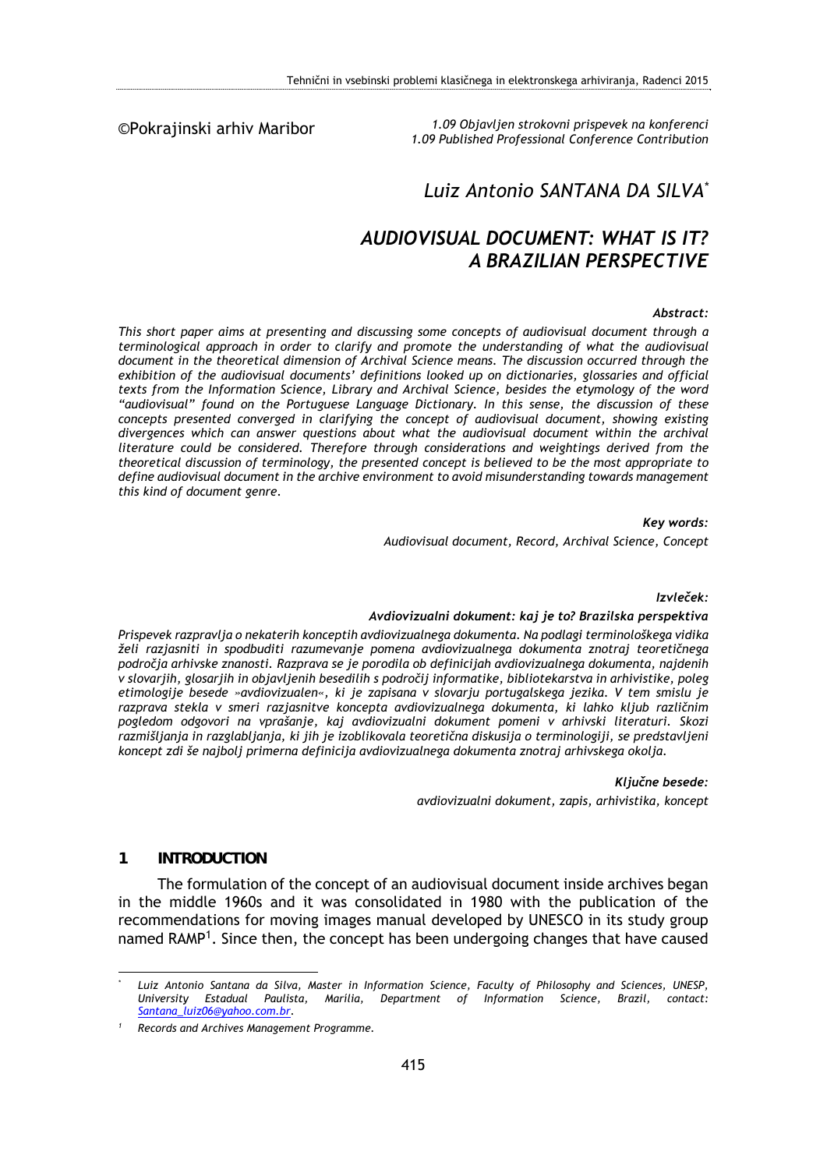### ©Pokrajinski arhiv Maribor

*1.09 Objavljen strokovni prispevek na konferenci 1.09 Published Professional Conference Contribution* 

#### *Luiz Antonio SANTANA DA SILVA\**

# *AUDIOVISUAL DOCUMENT: WHAT IS IT? A BRAZILIAN PERSPECTIVE*

#### *Abstract:*

*This short paper aims at presenting and discussing some concepts of audiovisual document through a terminological approach in order to clarify and promote the understanding of what the audiovisual document in the theoretical dimension of Archival Science means. The discussion occurred through the exhibition of the audiovisual documents' definitions looked up on dictionaries, glossaries and official texts from the Information Science, Library and Archival Science, besides the etymology of the word "audiovisual" found on the Portuguese Language Dictionary. In this sense, the discussion of these concepts presented converged in clarifying the concept of audiovisual document, showing existing divergences which can answer questions about what the audiovisual document within the archival literature could be considered. Therefore through considerations and weightings derived from the theoretical discussion of terminology, the presented concept is believed to be the most appropriate to define audiovisual document in the archive environment to avoid misunderstanding towards management this kind of document genre.* 

*Key words:* 

*Audiovisual document, Record, Archival Science, Concept* 

#### *Izvleček:*

#### *Avdiovizualni dokument: kaj je to? Brazilska perspektiva*

*Prispevek razpravlja o nekaterih konceptih avdiovizualnega dokumenta. Na podlagi terminološkega vidika želi razjasniti in spodbuditi razumevanje pomena avdiovizualnega dokumenta znotraj teoretičnega področja arhivske znanosti. Razprava se je porodila ob definicijah avdiovizualnega dokumenta, najdenih v slovarjih, glosarjih in objavljenih besedilih s področij informatike, bibliotekarstva in arhivistike, poleg etimologije besede »avdiovizualen«, ki je zapisana v slovarju portugalskega jezika. V tem smislu je razprava stekla v smeri razjasnitve koncepta avdiovizualnega dokumenta, ki lahko kljub različnim pogledom odgovori na vprašanje, kaj avdiovizualni dokument pomeni v arhivski literaturi. Skozi razmišljanja in razglabljanja, ki jih je izoblikovala teoretična diskusija o terminologiji, se predstavljeni koncept zdi še najbolj primerna definicija avdiovizualnega dokumenta znotraj arhivskega okolja.* 

#### *Ključne besede:*

*avdiovizualni dokument, zapis, arhivistika, koncept* 

### **1 INTRODUCTION**

<u>.</u>

The formulation of the concept of an audiovisual document inside archives began in the middle 1960s and it was consolidated in 1980 with the publication of the recommendations for moving images manual developed by UNESCO in its study group named RAMP<sup>1</sup>. Since then, the concept has been undergoing changes that have caused

*<sup>\*</sup> Luiz Antonio Santana da Silva, Master in Information Science, Faculty of Philosophy and Sciences, UNESP, University Estadual Paulista, Marília, Department of Information Science, Brazil, contact: Santana\_luiz06@yahoo.com.br.* 

*<sup>1</sup> Records and Archives Management Programme.*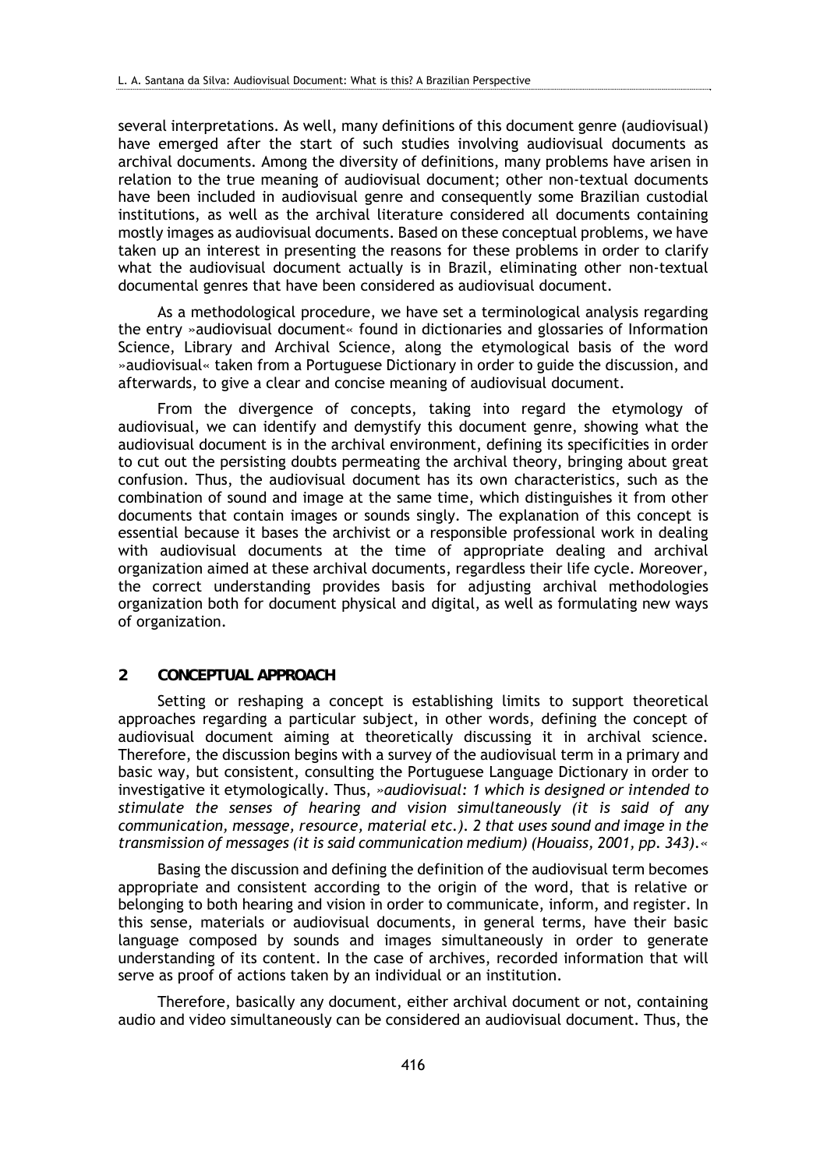several interpretations. As well, many definitions of this document genre (audiovisual) have emerged after the start of such studies involving audiovisual documents as archival documents. Among the diversity of definitions, many problems have arisen in relation to the true meaning of audiovisual document; other non-textual documents have been included in audiovisual genre and consequently some Brazilian custodial institutions, as well as the archival literature considered all documents containing mostly images as audiovisual documents. Based on these conceptual problems, we have taken up an interest in presenting the reasons for these problems in order to clarify what the audiovisual document actually is in Brazil, eliminating other non-textual documental genres that have been considered as audiovisual document.

As a methodological procedure, we have set a terminological analysis regarding the entry »audiovisual document« found in dictionaries and glossaries of Information Science, Library and Archival Science, along the etymological basis of the word »audiovisual« taken from a Portuguese Dictionary in order to guide the discussion, and afterwards, to give a clear and concise meaning of audiovisual document.

From the divergence of concepts, taking into regard the etymology of audiovisual, we can identify and demystify this document genre, showing what the audiovisual document is in the archival environment, defining its specificities in order to cut out the persisting doubts permeating the archival theory, bringing about great confusion. Thus, the audiovisual document has its own characteristics, such as the combination of sound and image at the same time, which distinguishes it from other documents that contain images or sounds singly. The explanation of this concept is essential because it bases the archivist or a responsible professional work in dealing with audiovisual documents at the time of appropriate dealing and archival organization aimed at these archival documents, regardless their life cycle. Moreover, the correct understanding provides basis for adjusting archival methodologies organization both for document physical and digital, as well as formulating new ways of organization.

## **2 CONCEPTUAL APPROACH**

Setting or reshaping a concept is establishing limits to support theoretical approaches regarding a particular subject, in other words, defining the concept of audiovisual document aiming at theoretically discussing it in archival science. Therefore, the discussion begins with a survey of the audiovisual term in a primary and basic way, but consistent, consulting the Portuguese Language Dictionary in order to investigative it etymologically. Thus, *»audiovisual: 1 which is designed or intended to stimulate the senses of hearing and vision simultaneously (it is said of any communication, message, resource, material etc.). 2 that uses sound and image in the transmission of messages (it is said communication medium) (Houaiss, 2001, pp. 343).«*

Basing the discussion and defining the definition of the audiovisual term becomes appropriate and consistent according to the origin of the word, that is relative or belonging to both hearing and vision in order to communicate, inform, and register. In this sense, materials or audiovisual documents, in general terms, have their basic language composed by sounds and images simultaneously in order to generate understanding of its content. In the case of archives, recorded information that will serve as proof of actions taken by an individual or an institution.

Therefore, basically any document, either archival document or not, containing audio and video simultaneously can be considered an audiovisual document. Thus, the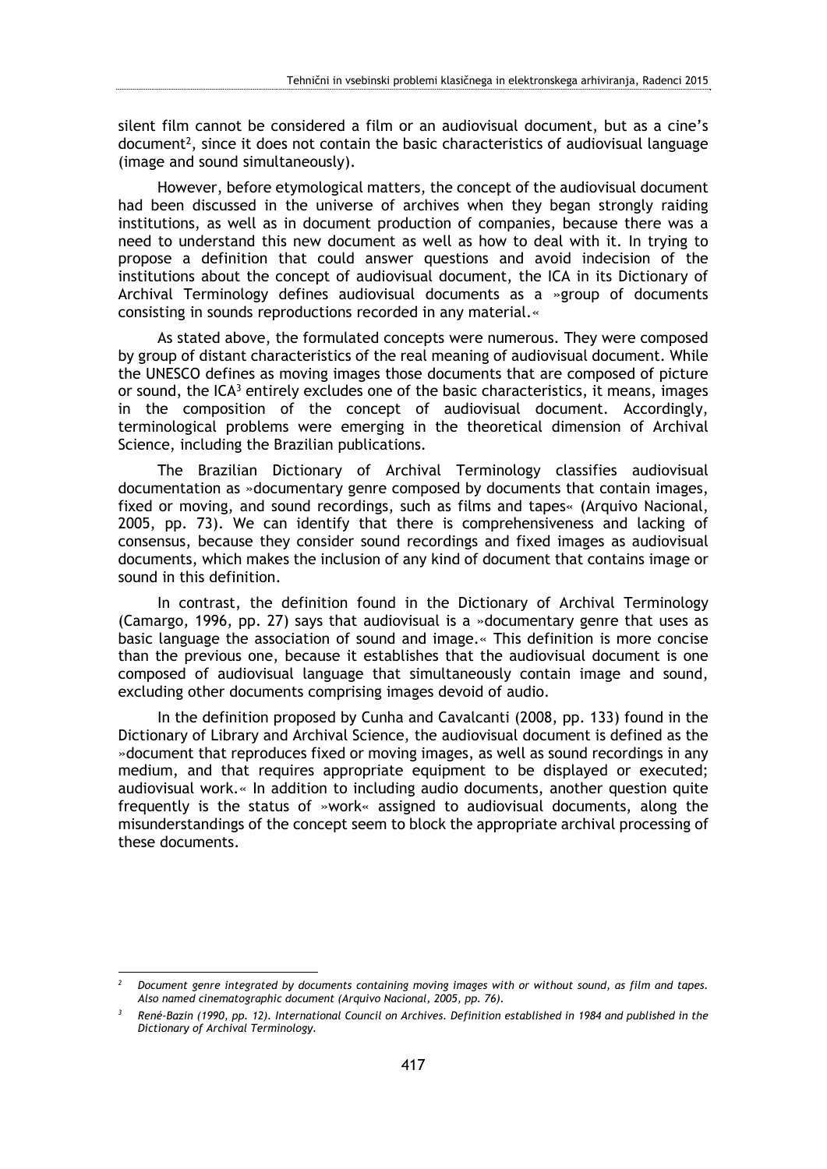silent film cannot be considered a film or an audiovisual document, but as a cine's  $document<sup>2</sup>$ , since it does not contain the basic characteristics of audiovisual language (image and sound simultaneously).

However, before etymological matters, the concept of the audiovisual document had been discussed in the universe of archives when they began strongly raiding institutions, as well as in document production of companies, because there was a need to understand this new document as well as how to deal with it. In trying to propose a definition that could answer questions and avoid indecision of the institutions about the concept of audiovisual document, the ICA in its Dictionary of Archival Terminology defines audiovisual documents as a »group of documents consisting in sounds reproductions recorded in any material.«

As stated above, the formulated concepts were numerous. They were composed by group of distant characteristics of the real meaning of audiovisual document. While the UNESCO defines as moving images those documents that are composed of picture or sound, the  $ICA<sup>3</sup>$  entirely excludes one of the basic characteristics, it means, images in the composition of the concept of audiovisual document. Accordingly, terminological problems were emerging in the theoretical dimension of Archival Science, including the Brazilian publications.

The Brazilian Dictionary of Archival Terminology classifies audiovisual documentation as »documentary genre composed by documents that contain images, fixed or moving, and sound recordings, such as films and tapes« (Arquivo Nacional, 2005, pp. 73). We can identify that there is comprehensiveness and lacking of consensus, because they consider sound recordings and fixed images as audiovisual documents, which makes the inclusion of any kind of document that contains image or sound in this definition.

In contrast, the definition found in the Dictionary of Archival Terminology (Camargo, 1996, pp. 27) says that audiovisual is a »documentary genre that uses as basic language the association of sound and image.« This definition is more concise than the previous one, because it establishes that the audiovisual document is one composed of audiovisual language that simultaneously contain image and sound, excluding other documents comprising images devoid of audio.

In the definition proposed by Cunha and Cavalcanti (2008, pp. 133) found in the Dictionary of Library and Archival Science, the audiovisual document is defined as the »document that reproduces fixed or moving images, as well as sound recordings in any medium, and that requires appropriate equipment to be displayed or executed; audiovisual work.« In addition to including audio documents, another question quite frequently is the status of »work« assigned to audiovisual documents, along the misunderstandings of the concept seem to block the appropriate archival processing of these documents.

<u>.</u>

*<sup>2</sup> Document genre integrated by documents containing moving images with or without sound, as film and tapes. Also named cinematographic document (Arquivo Nacional, 2005, pp. 76).* 

*<sup>3</sup> René-Bazin (1990, pp. 12). International Council on Archives. Definition established in 1984 and published in the Dictionary of Archival Terminology.*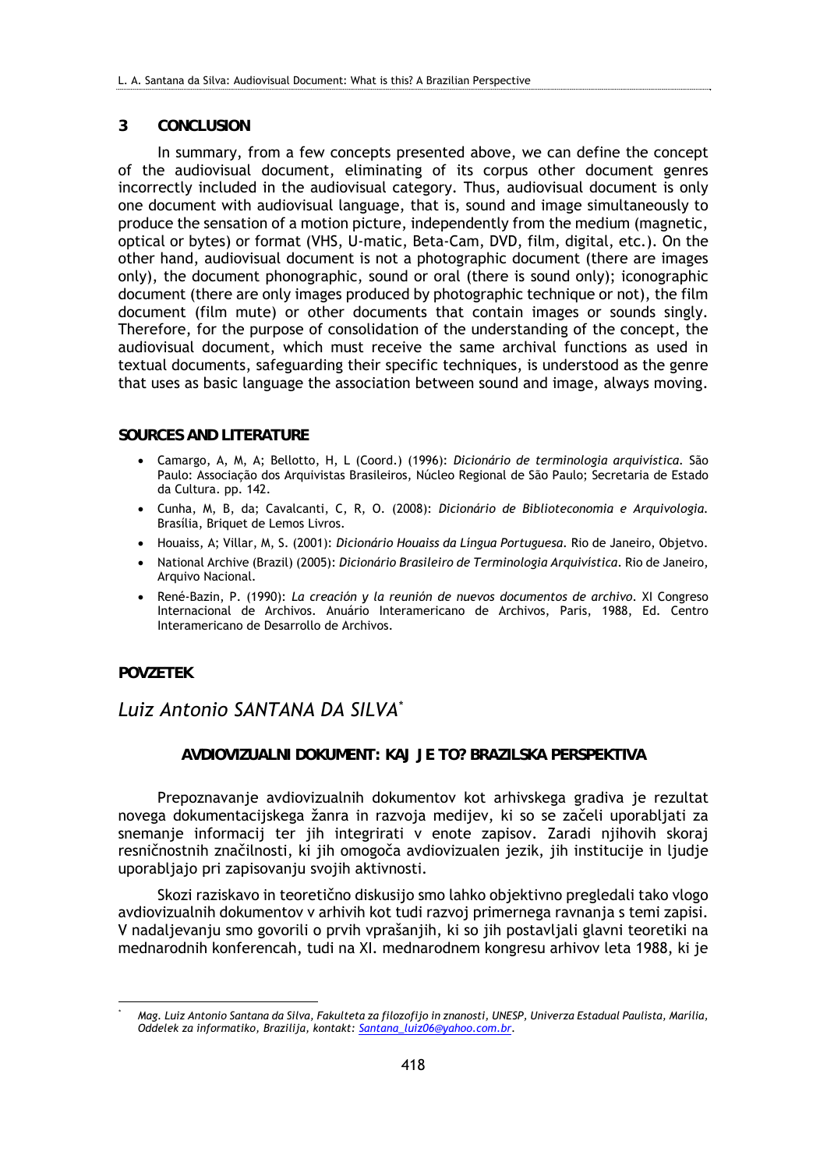### **3 CONCLUSION**

In summary, from a few concepts presented above, we can define the concept of the audiovisual document, eliminating of its corpus other document genres incorrectly included in the audiovisual category. Thus, audiovisual document is only one document with audiovisual language, that is, sound and image simultaneously to produce the sensation of a motion picture, independently from the medium (magnetic, optical or bytes) or format (VHS, U-matic, Beta-Cam, DVD, film, digital, etc.). On the other hand, audiovisual document is not a photographic document (there are images only), the document phonographic, sound or oral (there is sound only); iconographic document (there are only images produced by photographic technique or not), the film document (film mute) or other documents that contain images or sounds singly. Therefore, for the purpose of consolidation of the understanding of the concept, the audiovisual document, which must receive the same archival functions as used in textual documents, safeguarding their specific techniques, is understood as the genre that uses as basic language the association between sound and image, always moving.

### **SOURCES AND LITERATURE**

- Camargo, A, M, A; Bellotto, H, L (Coord.) (1996): *Dicionário de terminologia arquivística.* São Paulo: Associação dos Arquivistas Brasileiros, Núcleo Regional de São Paulo; Secretaria de Estado da Cultura. pp. 142.
- Cunha, M, B, da; Cavalcanti, C, R, O. (2008): *Dicionário de Biblioteconomia e Arquivologia.* Brasília, Briquet de Lemos Livros.
- Houaiss, A; Villar, M, S. (2001): *Dicionário Houaiss da Língua Portuguesa*. Rio de Janeiro, Objetvo.
- National Archive (Brazil) (2005): *Dicionário Brasileiro de Terminologia Arquivística*. Rio de Janeiro, Arquivo Nacional.
- René-Bazin, P. (1990): *La creación y la reunión de nuevos documentos de archivo*. XI Congreso Internacional de Archivos. Anuário Interamericano de Archivos, Paris, 1988, Ed. Centro Interamericano de Desarrollo de Archivos.

### **POVZETEK**

## *Luiz Antonio SANTANA DA SILVA\**

## **AVDIOVIZUALNI DOKUMENT: KAJ JE TO? BRAZILSKA PERSPEKTIVA**

Prepoznavanje avdiovizualnih dokumentov kot arhivskega gradiva je rezultat novega dokumentacijskega žanra in razvoja medijev, ki so se začeli uporabljati za snemanje informacij ter jih integrirati v enote zapisov. Zaradi njihovih skoraj resničnostnih značilnosti, ki jih omogoča avdiovizualen jezik, jih institucije in ljudje uporabljajo pri zapisovanju svojih aktivnosti.

Skozi raziskavo in teoretično diskusijo smo lahko objektivno pregledali tako vlogo avdiovizualnih dokumentov v arhivih kot tudi razvoj primernega ravnanja s temi zapisi. V nadaljevanju smo govorili o prvih vprašanjih, ki so jih postavljali glavni teoretiki na mednarodnih konferencah, tudi na XI. mednarodnem kongresu arhivov leta 1988, ki je

<sup>1</sup> *\* Mag. Luiz Antonio Santana da Silva, Fakulteta za filozofijo in znanosti, UNESP, Univerza Estadual Paulista, Marília, Oddelek za informatiko, Brazilija, kontakt: Santana\_luiz06@yahoo.com.br.*